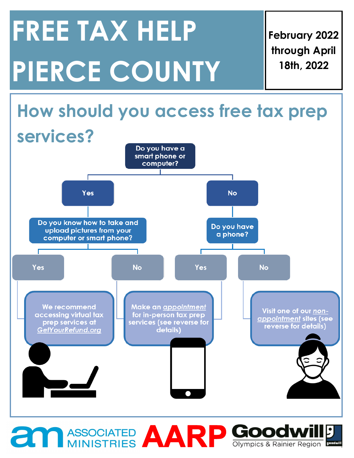# **FREE TAX HELP PIERCE COUNTY**

**February 2022 through April 18th, 2022**



**ASSOCIATED AARP GOOOWILD**